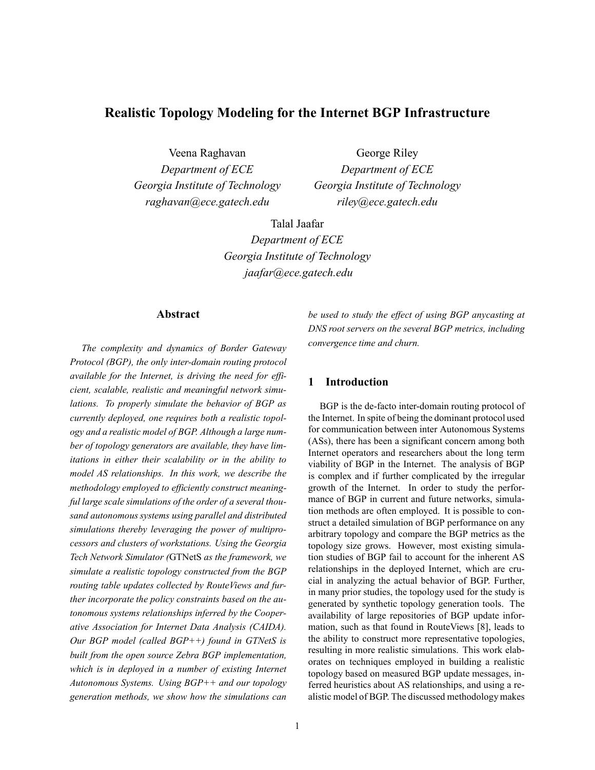# **Realistic Topology Modeling for the Internet BGP Infrastructure**

Veena Raghavan *Department of ECE Georgia Institute of Technology raghavan@ece.gatech.edu*

George Riley *Department of ECE Georgia Institute of Technology riley@ece.gatech.edu*

Talal Jaafar *Department of ECE Georgia Institute of Technology jaafar@ece.gatech.edu*

#### **Abstract**

*The complexity and dynamics of Border Gateway Protocol (BGP), the only inter-domain routing protocol available for the Internet, is driving the need for efficient, scalable, realistic and meaningful network simulations. To properly simulate the behavior of BGP as currently deployed, one requires both a realistic topology and a realistic model of BGP. Although a large number of topology generators are available, they have limitations in either their scalability or in the ability to model AS relationships. In this work, we describe the methodology employed to efficiently construct meaningful large scale simulations of the order of a several thousand autonomous systems using parallel and distributed simulations thereby leveraging the power of multiprocessors and clusters of workstations. Using the Georgia Tech Network Simulator (*GTNetS *as the framework, we simulate a realistic topology constructed from the BGP routing table updates collected by RouteViews and further incorporate the policy constraints based on the autonomous systems relationships inferred by the Cooperative Association for Internet Data Analysis (CAIDA). Our BGP model (called BGP++) found in GTNetS is built from the open source Zebra BGP implementation, which is in deployed in a number of existing Internet Autonomous Systems. Using BGP++ and our topology generation methods, we show how the simulations can* *be used to study the effect of using BGP anycasting at DNS root servers on the several BGP metrics, including convergence time and churn.*

### **1 Introduction**

BGP is the de-facto inter-domain routing protocol of the Internet. In spite of being the dominant protocol used for communication between inter Autonomous Systems (ASs), there has been a significant concern among both Internet operators and researchers about the long term viability of BGP in the Internet. The analysis of BGP is complex and if further complicated by the irregular growth of the Internet. In order to study the performance of BGP in current and future networks, simulation methods are often employed. It is possible to construct a detailed simulation of BGP performance on any arbitrary topology and compare the BGP metrics as the topology size grows. However, most existing simulation studies of BGP fail to account for the inherent AS relationships in the deployed Internet, which are crucial in analyzing the actual behavior of BGP. Further, in many prior studies, the topology used for the study is generated by synthetic topology generation tools. The availability of large repositories of BGP update information, such as that found in RouteViews [8], leads to the ability to construct more representative topologies, resulting in more realistic simulations. This work elaborates on techniques employed in building a realistic topology based on measured BGP update messages, inferred heuristics about AS relationships, and using a realistic model of BGP. The discussed methodology makes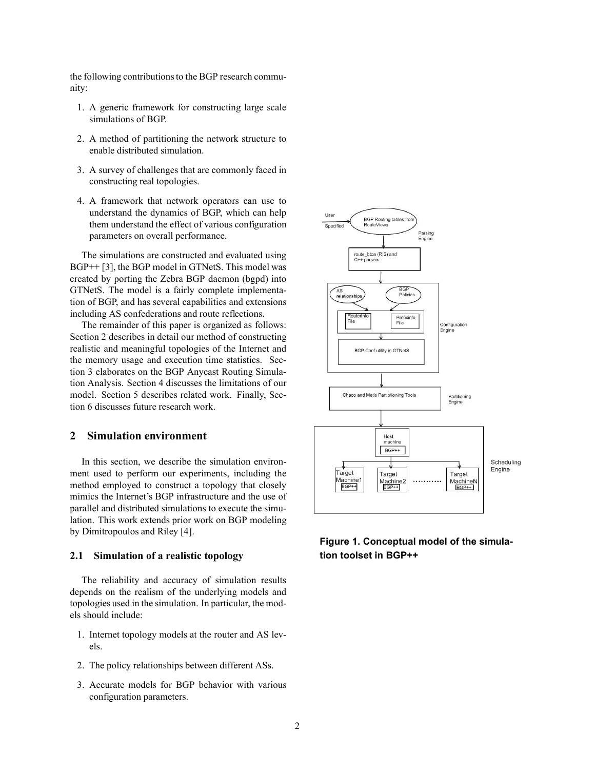the following contributions to the BGP research community:

- 1. A generic framework for constructing large scale simulations of BGP.
- 2. A method of partitioning the network structure to enable distributed simulation.
- 3. A survey of challenges that are commonly faced in constructing real topologies.
- 4. A framework that network operators can use to understand the dynamics of BGP, which can help them understand the effect of various configuration parameters on overall performance.

The simulations are constructed and evaluated using BGP++ [3], the BGP model in GTNetS. This model was created by porting the Zebra BGP daemon (bgpd) into GTNetS. The model is a fairly complete implementation of BGP, and has several capabilities and extensions including AS confederations and route reflections.

The remainder of this paper is organized as follows: Section 2 describes in detail our method of constructing realistic and meaningful topologies of the Internet and the memory usage and execution time statistics. Section 3 elaborates on the BGP Anycast Routing Simulation Analysis. Section 4 discusses the limitations of our model. Section 5 describes related work. Finally, Section 6 discusses future research work.

### **2 Simulation environment**

In this section, we describe the simulation environment used to perform our experiments, including the method employed to construct a topology that closely mimics the Internet's BGP infrastructure and the use of parallel and distributed simulations to execute the simulation. This work extends prior work on BGP modeling by Dimitropoulos and Riley [4].

#### **2.1 Simulation of a realistic topology**

The reliability and accuracy of simulation results depends on the realism of the underlying models and topologies used in the simulation. In particular, the models should include:

- 1. Internet topology models at the router and AS levels.
- 2. The policy relationships between different ASs.
- 3. Accurate models for BGP behavior with various configuration parameters.



## **Figure 1. Conceptual model of the simulation toolset in BGP++**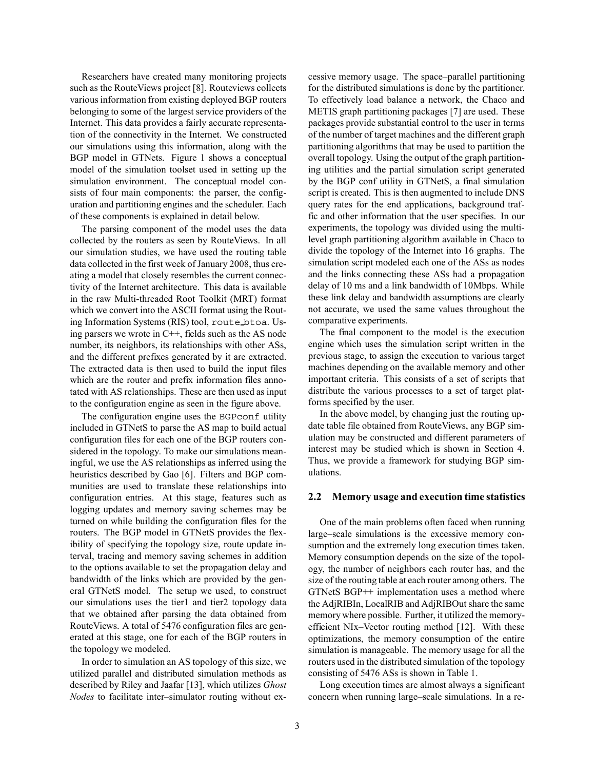Researchers have created many monitoring projects such as the RouteViews project [8]. Routeviews collects various information from existing deployed BGP routers belonging to some of the largest service providers of the Internet. This data provides a fairly accurate representation of the connectivity in the Internet. We constructed our simulations using this information, along with the BGP model in GTNets. Figure 1 shows a conceptual model of the simulation toolset used in setting up the simulation environment. The conceptual model consists of four main components: the parser, the configuration and partitioning engines and the scheduler. Each of these components is explained in detail below.

The parsing component of the model uses the data collected by the routers as seen by RouteViews. In all our simulation studies, we have used the routing table data collected in the first week of January 2008, thus creating a model that closely resembles the current connectivity of the Internet architecture. This data is available in the raw Multi-threaded Root Toolkit (MRT) format which we convert into the ASCII format using the Routing Information Systems (RIS) tool, route btoa. Using parsers we wrote in C++, fields such as the AS node number, its neighbors, its relationships with other ASs, and the different prefixes generated by it are extracted. The extracted data is then used to build the input files which are the router and prefix information files annotated with AS relationships. These are then used as input to the configuration engine as seen in the figure above.

The configuration engine uses the BGPconf utility included in GTNetS to parse the AS map to build actual configuration files for each one of the BGP routers considered in the topology. To make our simulations meaningful, we use the AS relationships as inferred using the heuristics described by Gao [6]. Filters and BGP communities are used to translate these relationships into configuration entries. At this stage, features such as logging updates and memory saving schemes may be turned on while building the configuration files for the routers. The BGP model in GTNetS provides the flexibility of specifying the topology size, route update interval, tracing and memory saving schemes in addition to the options available to set the propagation delay and bandwidth of the links which are provided by the general GTNetS model. The setup we used, to construct our simulations uses the tier1 and tier2 topology data that we obtained after parsing the data obtained from RouteViews. A total of 5476 configuration files are generated at this stage, one for each of the BGP routers in the topology we modeled.

In order to simulation an AS topology of this size, we utilized parallel and distributed simulation methods as described by Riley and Jaafar [13], which utilizes *Ghost Nodes* to facilitate inter–simulator routing without excessive memory usage. The space–parallel partitioning for the distributed simulations is done by the partitioner. To effectively load balance a network, the Chaco and METIS graph partitioning packages [7] are used. These packages provide substantial control to the user in terms of the number of target machines and the different graph partitioning algorithms that may be used to partition the overall topology. Using the output of the graph partitioning utilities and the partial simulation script generated by the BGP conf utility in GTNetS, a final simulation script is created. This is then augmented to include DNS query rates for the end applications, background traffic and other information that the user specifies. In our experiments, the topology was divided using the multilevel graph partitioning algorithm available in Chaco to divide the topology of the Internet into 16 graphs. The simulation script modeled each one of the ASs as nodes and the links connecting these ASs had a propagation delay of 10 ms and a link bandwidth of 10Mbps. While these link delay and bandwidth assumptions are clearly not accurate, we used the same values throughout the comparative experiments.

The final component to the model is the execution engine which uses the simulation script written in the previous stage, to assign the execution to various target machines depending on the available memory and other important criteria. This consists of a set of scripts that distribute the various processes to a set of target platforms specified by the user.

In the above model, by changing just the routing update table file obtained from RouteViews, any BGP simulation may be constructed and different parameters of interest may be studied which is shown in Section 4. Thus, we provide a framework for studying BGP simulations.

#### **2.2 Memory usage and execution time statistics**

One of the main problems often faced when running large–scale simulations is the excessive memory consumption and the extremely long execution times taken. Memory consumption depends on the size of the topology, the number of neighbors each router has, and the size of the routing table at each router among others. The GTNetS BGP++ implementation uses a method where the AdjRIBIn, LocalRIB and AdjRIBOut share the same memory where possible. Further, it utilized the memoryefficient NIx–Vector routing method [12]. With these optimizations, the memory consumption of the entire simulation is manageable. The memory usage for all the routers used in the distributed simulation of the topology consisting of 5476 ASs is shown in Table 1.

Long execution times are almost always a significant concern when running large–scale simulations. In a re-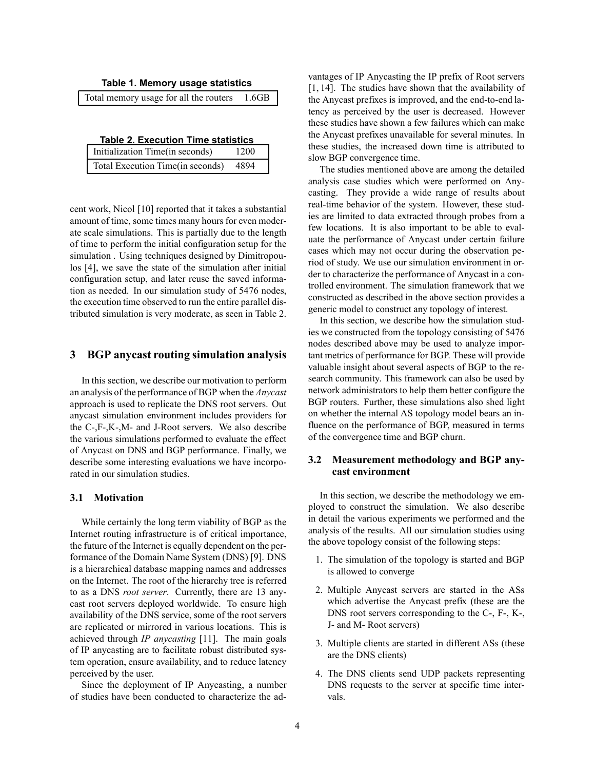Total memory usage for all the routers 1.6GB

| <b>Table 2. Execution Time statistics</b> |      |  |
|-------------------------------------------|------|--|
| Initialization Time(in seconds)           | 1200 |  |

cent work, Nicol [10] reported that it takes a substantial amount of time, some times many hours for even moderate scale simulations. This is partially due to the length of time to perform the initial configuration setup for the simulation . Using techniques designed by Dimitropoulos [4], we save the state of the simulation after initial configuration setup, and later reuse the saved information as needed. In our simulation study of 5476 nodes, the execution time observed to run the entire parallel distributed simulation is very moderate, as seen in Table 2.

#### **3 BGP anycast routing simulation analysis**

In this section, we describe our motivation to perform an analysis of the performance of BGP when the *Anycast* approach is used to replicate the DNS root servers. Out anycast simulation environment includes providers for the C-,F-,K-,M- and J-Root servers. We also describe the various simulations performed to evaluate the effect of Anycast on DNS and BGP performance. Finally, we describe some interesting evaluations we have incorporated in our simulation studies.

#### **3.1 Motivation**

While certainly the long term viability of BGP as the Internet routing infrastructure is of critical importance, the future of the Internet is equally dependent on the performance of the Domain Name System (DNS) [9]. DNS is a hierarchical database mapping names and addresses on the Internet. The root of the hierarchy tree is referred to as a DNS *root server*. Currently, there are 13 anycast root servers deployed worldwide. To ensure high availability of the DNS service, some of the root servers are replicated or mirrored in various locations. This is achieved through *IP anycasting* [11]. The main goals of IP anycasting are to facilitate robust distributed system operation, ensure availability, and to reduce latency perceived by the user.

Since the deployment of IP Anycasting, a number of studies have been conducted to characterize the ad-

vantages of IP Anycasting the IP prefix of Root servers [1, 14]. The studies have shown that the availability of the Anycast prefixes is improved, and the end-to-end latency as perceived by the user is decreased. However these studies have shown a few failures which can make the Anycast prefixes unavailable for several minutes. In these studies, the increased down time is attributed to slow BGP convergence time.

The studies mentioned above are among the detailed analysis case studies which were performed on Anycasting. They provide a wide range of results about real-time behavior of the system. However, these studies are limited to data extracted through probes from a few locations. It is also important to be able to evaluate the performance of Anycast under certain failure cases which may not occur during the observation period of study. We use our simulation environment in order to characterize the performance of Anycast in a controlled environment. The simulation framework that we constructed as described in the above section provides a generic model to construct any topology of interest.

In this section, we describe how the simulation studies we constructed from the topology consisting of 5476 nodes described above may be used to analyze important metrics of performance for BGP. These will provide valuable insight about several aspects of BGP to the research community. This framework can also be used by network administrators to help them better configure the BGP routers. Further, these simulations also shed light on whether the internal AS topology model bears an influence on the performance of BGP, measured in terms of the convergence time and BGP churn.

#### **3.2 Measurement methodology and BGP anycast environment**

In this section, we describe the methodology we employed to construct the simulation. We also describe in detail the various experiments we performed and the analysis of the results. All our simulation studies using the above topology consist of the following steps:

- 1. The simulation of the topology is started and BGP is allowed to converge
- 2. Multiple Anycast servers are started in the ASs which advertise the Anycast prefix (these are the DNS root servers corresponding to the C-, F-, K-, J- and M- Root servers)
- 3. Multiple clients are started in different ASs (these are the DNS clients)
- 4. The DNS clients send UDP packets representing DNS requests to the server at specific time intervals.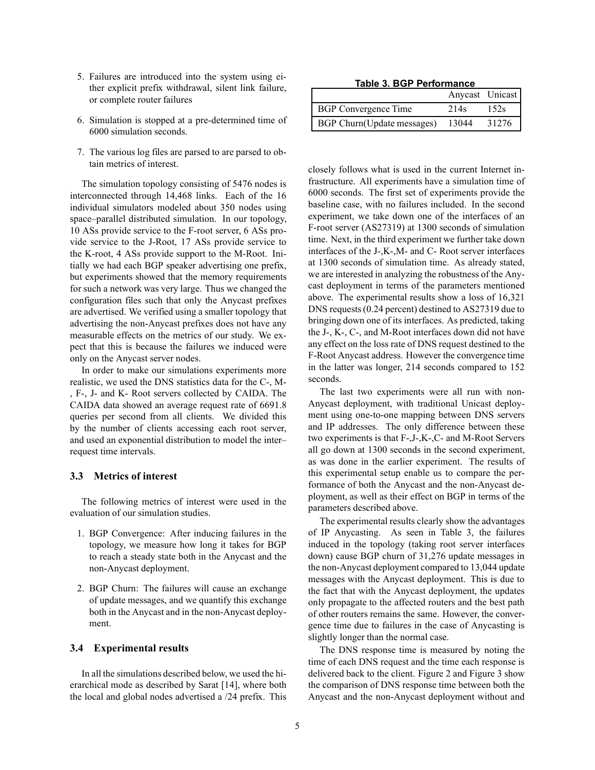- 5. Failures are introduced into the system using either explicit prefix withdrawal, silent link failure, or complete router failures
- 6. Simulation is stopped at a pre-determined time of 6000 simulation seconds.
- 7. The various log files are parsed to are parsed to obtain metrics of interest.

The simulation topology consisting of 5476 nodes is interconnected through 14,468 links. Each of the 16 individual simulators modeled about 350 nodes using space–parallel distributed simulation. In our topology, 10 ASs provide service to the F-root server, 6 ASs provide service to the J-Root, 17 ASs provide service to the K-root, 4 ASs provide support to the M-Root. Initially we had each BGP speaker advertising one prefix, but experiments showed that the memory requirements for such a network was very large. Thus we changed the configuration files such that only the Anycast prefixes are advertised. We verified using a smaller topology that advertising the non-Anycast prefixes does not have any measurable effects on the metrics of our study. We expect that this is because the failures we induced were only on the Anycast server nodes.

In order to make our simulations experiments more realistic, we used the DNS statistics data for the C-, M- , F-, J- and K- Root servers collected by CAIDA. The CAIDA data showed an average request rate of 6691.8 queries per second from all clients. We divided this by the number of clients accessing each root server, and used an exponential distribution to model the inter– request time intervals.

### **3.3 Metrics of interest**

The following metrics of interest were used in the evaluation of our simulation studies.

- 1. BGP Convergence: After inducing failures in the topology, we measure how long it takes for BGP to reach a steady state both in the Anycast and the non-Anycast deployment.
- 2. BGP Churn: The failures will cause an exchange of update messages, and we quantify this exchange both in the Anycast and in the non-Anycast deployment.

#### **3.4 Experimental results**

In all the simulations described below, we used the hierarchical mode as described by Sarat [14], where both the local and global nodes advertised a /24 prefix. This

**Table 3. BGP Performance**

|                             | Anycast Unicast |       |
|-----------------------------|-----------------|-------|
| <b>BGP</b> Convergence Time | 214s            | 152s  |
| BGP Churn(Update messages)  | 13044           | 31276 |

closely follows what is used in the current Internet infrastructure. All experiments have a simulation time of 6000 seconds. The first set of experiments provide the baseline case, with no failures included. In the second experiment, we take down one of the interfaces of an F-root server (AS27319) at 1300 seconds of simulation time. Next, in the third experiment we further take down interfaces of the J-,K-,M- and C- Root server interfaces at 1300 seconds of simulation time. As already stated, we are interested in analyzing the robustness of the Anycast deployment in terms of the parameters mentioned above. The experimental results show a loss of 16,321 DNS requests (0.24 percent) destined to AS27319 due to bringing down one of its interfaces. As predicted, taking the J-, K-, C-, and M-Root interfaces down did not have any effect on the loss rate of DNS request destined to the F-Root Anycast address. However the convergence time in the latter was longer, 214 seconds compared to 152 seconds.

The last two experiments were all run with non-Anycast deployment, with traditional Unicast deployment using one-to-one mapping between DNS servers and IP addresses. The only difference between these two experiments is that F-,J-,K-,C- and M-Root Servers all go down at 1300 seconds in the second experiment, as was done in the earlier experiment. The results of this experimental setup enable us to compare the performance of both the Anycast and the non-Anycast deployment, as well as their effect on BGP in terms of the parameters described above.

The experimental results clearly show the advantages of IP Anycasting. As seen in Table 3, the failures induced in the topology (taking root server interfaces down) cause BGP churn of 31,276 update messages in the non-Anycast deployment compared to 13,044 update messages with the Anycast deployment. This is due to the fact that with the Anycast deployment, the updates only propagate to the affected routers and the best path of other routers remains the same. However, the convergence time due to failures in the case of Anycasting is slightly longer than the normal case.

The DNS response time is measured by noting the time of each DNS request and the time each response is delivered back to the client. Figure 2 and Figure 3 show the comparison of DNS response time between both the Anycast and the non-Anycast deployment without and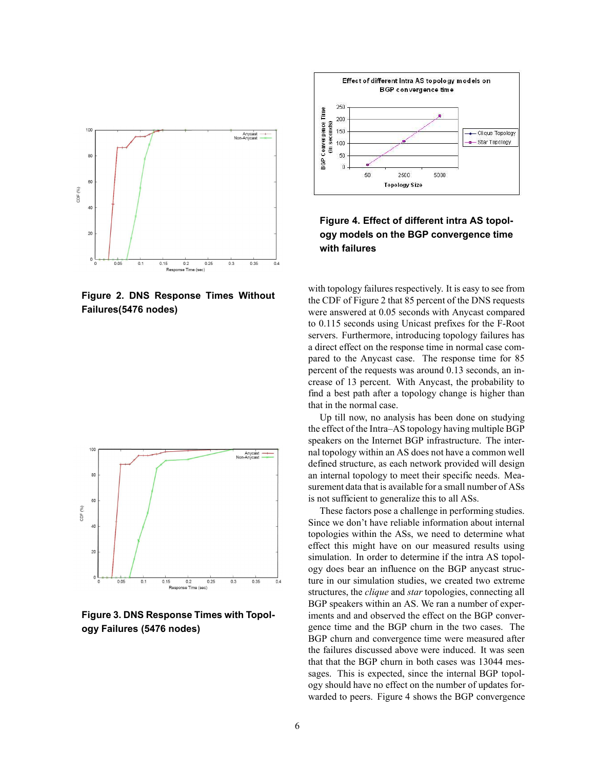

**Figure 2. DNS Response Times Without Failures(5476 nodes)**



**Figure 3. DNS Response Times with Topology Failures (5476 nodes)**



# **Figure 4. Effect of different intra AS topology models on the BGP convergence time with failures**

with topology failures respectively. It is easy to see from the CDF of Figure 2 that 85 percent of the DNS requests were answered at 0.05 seconds with Anycast compared to 0.115 seconds using Unicast prefixes for the F-Root servers. Furthermore, introducing topology failures has a direct effect on the response time in normal case compared to the Anycast case. The response time for 85 percent of the requests was around 0.13 seconds, an increase of 13 percent. With Anycast, the probability to find a best path after a topology change is higher than that in the normal case.

Up till now, no analysis has been done on studying the effect of the Intra–AS topology having multiple BGP speakers on the Internet BGP infrastructure. The internal topology within an AS does not have a common well defined structure, as each network provided will design an internal topology to meet their specific needs. Measurement data that is available for a small number of ASs is not sufficient to generalize this to all ASs.

These factors pose a challenge in performing studies. Since we don't have reliable information about internal topologies within the ASs, we need to determine what effect this might have on our measured results using simulation. In order to determine if the intra AS topology does bear an influence on the BGP anycast structure in our simulation studies, we created two extreme structures, the *clique* and *star* topologies, connecting all BGP speakers within an AS. We ran a number of experiments and and observed the effect on the BGP convergence time and the BGP churn in the two cases. The BGP churn and convergence time were measured after the failures discussed above were induced. It was seen that that the BGP churn in both cases was 13044 messages. This is expected, since the internal BGP topology should have no effect on the number of updates forwarded to peers. Figure 4 shows the BGP convergence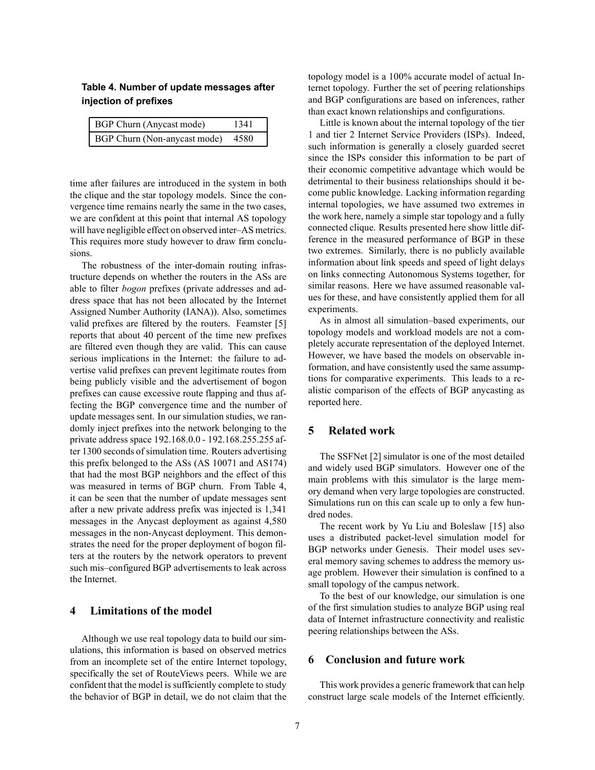**Table 4. Number of update messages after injection of prefixes**

| BGP Churn (Anycast mode)          | 1341 |
|-----------------------------------|------|
| BGP Churn (Non-anycast mode) 4580 |      |

time after failures are introduced in the system in both the clique and the star topology models. Since the convergence time remains nearly the same in the two cases, we are confident at this point that internal AS topology will have negligible effect on observed inter–AS metrics. This requires more study however to draw firm conclusions.

The robustness of the inter-domain routing infrastructure depends on whether the routers in the ASs are able to filter *bogon* prefixes (private addresses and address space that has not been allocated by the Internet Assigned Number Authority (IANA)). Also, sometimes valid prefixes are filtered by the routers. Feamster [5] reports that about 40 percent of the time new prefixes are filtered even though they are valid. This can cause serious implications in the Internet: the failure to advertise valid prefixes can prevent legitimate routes from being publicly visible and the advertisement of bogon prefixes can cause excessive route flapping and thus affecting the BGP convergence time and the number of update messages sent. In our simulation studies, we randomly inject prefixes into the network belonging to the private address space 192.168.0.0 - 192.168.255.255 after 1300 seconds of simulation time. Routers advertising this prefix belonged to the ASs (AS 10071 and AS174) that had the most BGP neighbors and the effect of this was measured in terms of BGP churn. From Table 4, it can be seen that the number of update messages sent after a new private address prefix was injected is 1,341 messages in the Anycast deployment as against 4,580 messages in the non-Anycast deployment. This demonstrates the need for the proper deployment of bogon filters at the routers by the network operators to prevent such mis–configured BGP advertisements to leak across the Internet.

#### **4 Limitations of the model**

Although we use real topology data to build our simulations, this information is based on observed metrics from an incomplete set of the entire Internet topology, specifically the set of RouteViews peers. While we are confident that the model is sufficiently complete to study the behavior of BGP in detail, we do not claim that the

topology model is a 100% accurate model of actual Internet topology. Further the set of peering relationships and BGP configurations are based on inferences, rather than exact known relationships and configurations.

Little is known about the internal topology of the tier 1 and tier 2 Internet Service Providers (ISPs). Indeed, such information is generally a closely guarded secret since the ISPs consider this information to be part of their economic competitive advantage which would be detrimental to their business relationships should it become public knowledge. Lacking information regarding internal topologies, we have assumed two extremes in the work here, namely a simple star topology and a fully connected clique. Results presented here show little difference in the measured performance of BGP in these two extremes. Similarly, there is no publicly available information about link speeds and speed of light delays on links connecting Autonomous Systems together, for similar reasons. Here we have assumed reasonable values for these, and have consistently applied them for all experiments.

As in almost all simulation–based experiments, our topology models and workload models are not a completely accurate representation of the deployed Internet. However, we have based the models on observable information, and have consistently used the same assumptions for comparative experiments. This leads to a realistic comparison of the effects of BGP anycasting as reported here.

### **5 Related work**

The SSFNet [2] simulator is one of the most detailed and widely used BGP simulators. However one of the main problems with this simulator is the large memory demand when very large topologies are constructed. Simulations run on this can scale up to only a few hundred nodes.

The recent work by Yu Liu and Boleslaw [15] also uses a distributed packet-level simulation model for BGP networks under Genesis. Their model uses several memory saving schemes to address the memory usage problem. However their simulation is confined to a small topology of the campus network.

To the best of our knowledge, our simulation is one of the first simulation studies to analyze BGP using real data of Internet infrastructure connectivity and realistic peering relationships between the ASs.

#### **6 Conclusion and future work**

This work provides a generic framework that can help construct large scale models of the Internet efficiently.